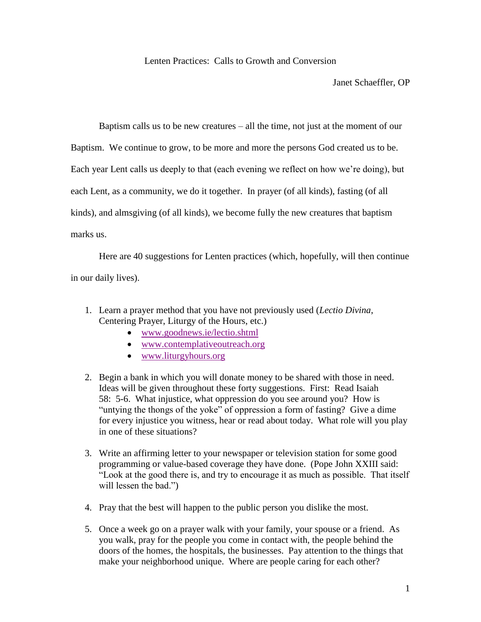## Lenten Practices: Calls to Growth and Conversion

Janet Schaeffler, OP

Baptism calls us to be new creatures – all the time, not just at the moment of our

Baptism. We continue to grow, to be more and more the persons God created us to be.

Each year Lent calls us deeply to that (each evening we reflect on how we're doing), but

each Lent, as a community, we do it together. In prayer (of all kinds), fasting (of all

kinds), and almsgiving (of all kinds), we become fully the new creatures that baptism

marks us.

 Here are 40 suggestions for Lenten practices (which, hopefully, will then continue in our daily lives).

- 1. Learn a prayer method that you have not previously used (*Lectio Divina*, Centering Prayer, Liturgy of the Hours, etc.)
	- [www.goodnews.ie/lectio.shtml](http://www.goodnews.ie/lectio.shtml)
	- [www.contemplativeoutreach.org](http://www.contemplativeoutreach.org/)
	- [www.liturgyhours.org](http://www.liturgyhours.org/)
- 2. Begin a bank in which you will donate money to be shared with those in need. Ideas will be given throughout these forty suggestions. First: Read Isaiah 58: 5-6. What injustice, what oppression do you see around you? How is "untying the thongs of the yoke" of oppression a form of fasting? Give a dime for every injustice you witness, hear or read about today. What role will you play in one of these situations?
- 3. Write an affirming letter to your newspaper or television station for some good programming or value-based coverage they have done. (Pope John XXIII said: "Look at the good there is, and try to encourage it as much as possible. That itself will lessen the bad.")
- 4. Pray that the best will happen to the public person you dislike the most.
- 5. Once a week go on a prayer walk with your family, your spouse or a friend. As you walk, pray for the people you come in contact with, the people behind the doors of the homes, the hospitals, the businesses. Pay attention to the things that make your neighborhood unique. Where are people caring for each other?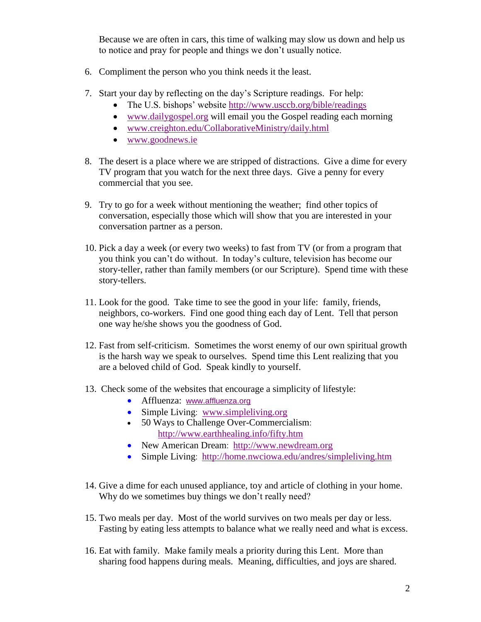Because we are often in cars, this time of walking may slow us down and help us to notice and pray for people and things we don't usually notice.

- 6. Compliment the person who you think needs it the least.
- 7. Start your day by reflecting on the day's Scripture readings. For help:
	- The U.S. bishops' website<http://www.usccb.org/bible/readings>
	- [www.dailygospel.org](http://www.dailygospel.org/) will email you the Gospel reading each morning
	- [www.creighton.edu/CollaborativeMinistry/daily.html](http://www.creighton.edu/CollaborativeMinistry/daily.html)
	- [www.goodnews.ie](http://www.goodnews.ie/)
- 8. The desert is a place where we are stripped of distractions. Give a dime for every TV program that you watch for the next three days. Give a penny for every commercial that you see.
- 9. Try to go for a week without mentioning the weather; find other topics of conversation, especially those which will show that you are interested in your conversation partner as a person.
- 10. Pick a day a week (or every two weeks) to fast from TV (or from a program that you think you can't do without. In today's culture, television has become our story-teller, rather than family members (or our Scripture). Spend time with these story-tellers.
- 11. Look for the good. Take time to see the good in your life: family, friends, neighbors, co-workers. Find one good thing each day of Lent. Tell that person one way he/she shows you the goodness of God.
- 12. Fast from self-criticism. Sometimes the worst enemy of our own spiritual growth is the harsh way we speak to ourselves. Spend time this Lent realizing that you are a beloved child of God. Speak kindly to yourself.
- 13. Check some of the websites that encourage a simplicity of lifestyle:
	- Affluenza: [www.affluenza.org](http://www.affluenza.org/)
	- Simple Living: [www.simpleliving.org](http://www.simpleliving.org/)
	- 50 Ways to Challenge Over-Commercialism: <http://www.earthhealing.info/fifty.htm>
	- New American Dream: [http://www.newdream.org](http://www.newdream.org/)
	- Simple Living: <http://home.nwciowa.edu/andres/simpleliving.htm>
- 14. Give a dime for each unused appliance, toy and article of clothing in your home. Why do we sometimes buy things we don't really need?
- 15. Two meals per day. Most of the world survives on two meals per day or less. Fasting by eating less attempts to balance what we really need and what is excess.
- 16. Eat with family. Make family meals a priority during this Lent. More than sharing food happens during meals. Meaning, difficulties, and joys are shared.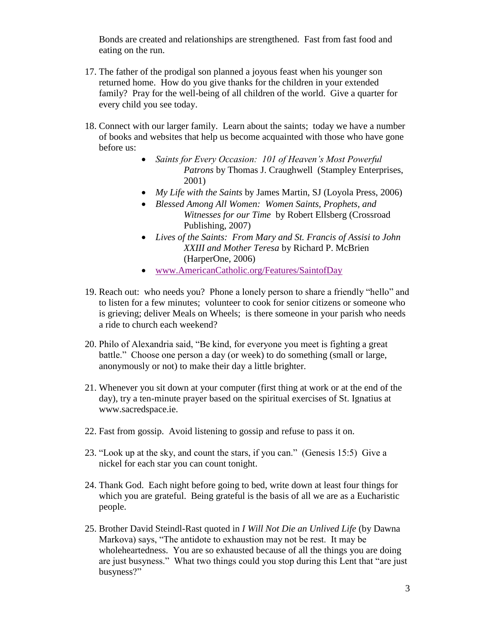Bonds are created and relationships are strengthened. Fast from fast food and eating on the run.

- 17. The father of the prodigal son planned a joyous feast when his younger son returned home. How do you give thanks for the children in your extended family? Pray for the well-being of all children of the world. Give a quarter for every child you see today.
- 18. Connect with our larger family. Learn about the saints; today we have a number of books and websites that help us become acquainted with those who have gone before us:
	- *Saints for Every Occasion: 101 of Heaven's Most Powerful Patrons* by Thomas J. Craughwell (Stampley Enterprises, 2001)
	- *My Life with the Saints* by James Martin, SJ (Loyola Press, 2006)
	- *Blessed Among All Women: Women Saints, Prophets, and Witnesses for our Time* by Robert Ellsberg (Crossroad Publishing, 2007)
	- *Lives of the Saints: From Mary and St. Francis of Assisi to John XXIII and Mother Teresa* by Richard P. McBrien (HarperOne, 2006)
	- [www.AmericanCatholic.org/Features/SaintofDay](http://www.americancatholic.org/Features/SaintofDay)
- 19. Reach out: who needs you? Phone a lonely person to share a friendly "hello" and to listen for a few minutes; volunteer to cook for senior citizens or someone who is grieving; deliver Meals on Wheels; is there someone in your parish who needs a ride to church each weekend?
- 20. Philo of Alexandria said, "Be kind, for everyone you meet is fighting a great battle." Choose one person a day (or week) to do something (small or large, anonymously or not) to make their day a little brighter.
- 21. Whenever you sit down at your computer (first thing at work or at the end of the day), try a ten-minute prayer based on the spiritual exercises of St. Ignatius at www.sacredspace.ie.
- 22. Fast from gossip. Avoid listening to gossip and refuse to pass it on.
- 23. "Look up at the sky, and count the stars, if you can." (Genesis 15:5) Give a nickel for each star you can count tonight.
- 24. Thank God. Each night before going to bed, write down at least four things for which you are grateful. Being grateful is the basis of all we are as a Eucharistic people.
- 25. Brother David Steindl-Rast quoted in *I Will Not Die an Unlived Life* (by Dawna Markova) says, "The antidote to exhaustion may not be rest. It may be wholeheartedness. You are so exhausted because of all the things you are doing are just busyness." What two things could you stop during this Lent that "are just busyness?"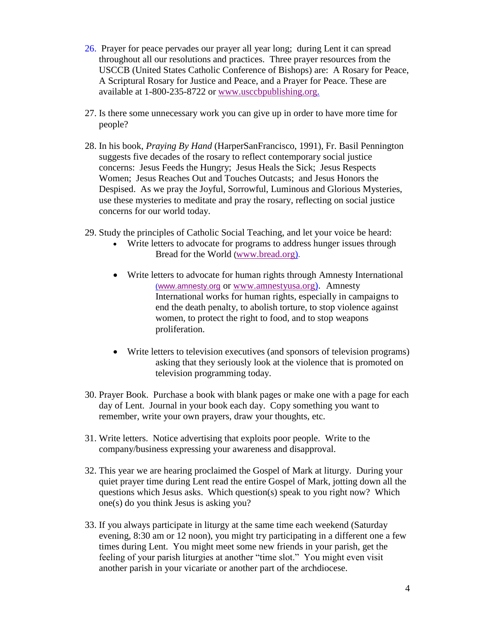- 26. Prayer for peace pervades our prayer all year long; during Lent it can spread throughout all our resolutions and practices. Three prayer resources from the USCCB (United States Catholic Conference of Bishops) are: A Rosary for Peace, A Scriptural Rosary for Justice and Peace, and a Prayer for Peace. These are available at 1-800-235-8722 or [www.usccbpublishing.org.](http://www.usccbpublishing.org/)
- 27. Is there some unnecessary work you can give up in order to have more time for people?
- 28. In his book, *Praying By Hand* (HarperSanFrancisco, 1991), Fr. Basil Pennington suggests five decades of the rosary to reflect contemporary social justice concerns: Jesus Feeds the Hungry; Jesus Heals the Sick; Jesus Respects Women; Jesus Reaches Out and Touches Outcasts; and Jesus Honors the Despised. As we pray the Joyful, Sorrowful, Luminous and Glorious Mysteries, use these mysteries to meditate and pray the rosary, reflecting on social justice concerns for our world today.
- 29. Study the principles of Catholic Social Teaching, and let your voice be heard:
	- Write letters to advocate for programs to address hunger issues through Bread for the World ([www.bread.org\)](http://www.bread.org/).
	- Write letters to advocate for human rights through Amnesty International ([www.amnesty.org](http://www.amnesty.org/) or [www.amnestyusa.org\)](http://www.amnestyusa.org/). Amnesty International works for human rights, especially in campaigns to end the death penalty, to abolish torture, to stop violence against women, to protect the right to food, and to stop weapons proliferation.
	- Write letters to television executives (and sponsors of television programs) asking that they seriously look at the violence that is promoted on television programming today.
- 30. Prayer Book. Purchase a book with blank pages or make one with a page for each day of Lent. Journal in your book each day. Copy something you want to remember, write your own prayers, draw your thoughts, etc.
- 31. Write letters. Notice advertising that exploits poor people. Write to the company/business expressing your awareness and disapproval.
- 32. This year we are hearing proclaimed the Gospel of Mark at liturgy. During your quiet prayer time during Lent read the entire Gospel of Mark, jotting down all the questions which Jesus asks. Which question(s) speak to you right now? Which one(s) do you think Jesus is asking you?
- 33. If you always participate in liturgy at the same time each weekend (Saturday evening, 8:30 am or 12 noon), you might try participating in a different one a few times during Lent. You might meet some new friends in your parish, get the feeling of your parish liturgies at another "time slot." You might even visit another parish in your vicariate or another part of the archdiocese.